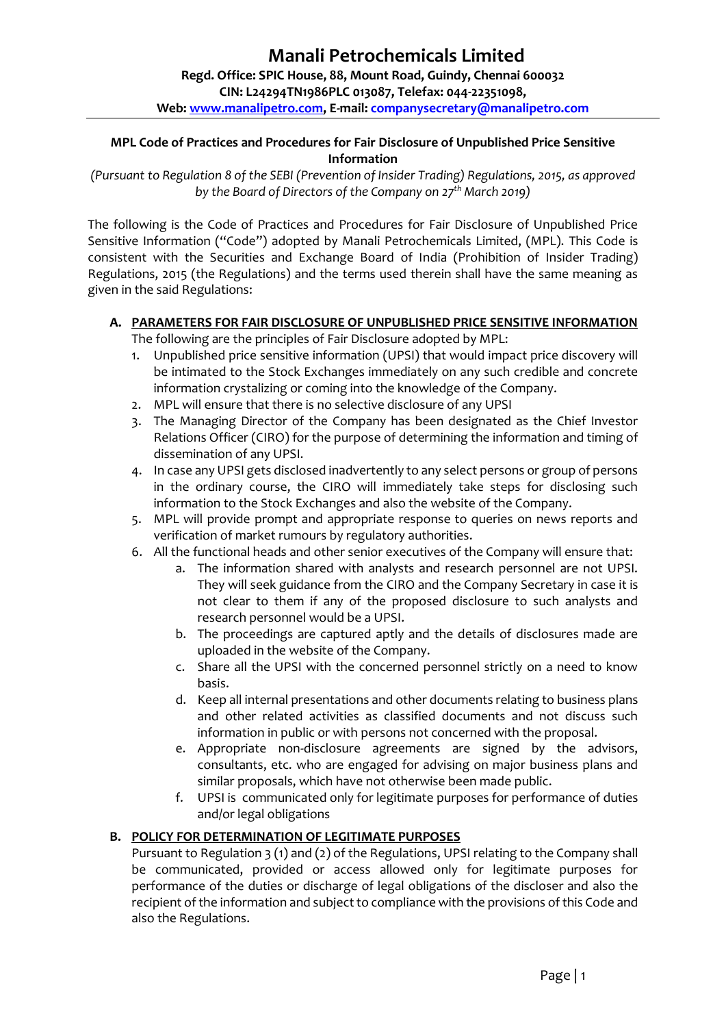**Web[: www.manalipetro.com,](http://www.manalipetro.com/) E-mail: [companysecretary@manalipetro.com](mailto:companysecretary@manalipetro.com)**

## **MPL Code of Practices and Procedures for Fair Disclosure of Unpublished Price Sensitive Information**

*(Pursuant to Regulation 8 of the SEBI (Prevention of Insider Trading) Regulations, 2015, as approved by the Board of Directors of the Company on 27th March 2019)*

The following is the Code of Practices and Procedures for Fair Disclosure of Unpublished Price Sensitive Information ("Code") adopted by Manali Petrochemicals Limited, (MPL). This Code is consistent with the Securities and Exchange Board of India (Prohibition of Insider Trading) Regulations, 2015 (the Regulations) and the terms used therein shall have the same meaning as given in the said Regulations:

## **A. PARAMETERS FOR FAIR DISCLOSURE OF UNPUBLISHED PRICE SENSITIVE INFORMATION**

The following are the principles of Fair Disclosure adopted by MPL:

- 1. Unpublished price sensitive information (UPSI) that would impact price discovery will be intimated to the Stock Exchanges immediately on any such credible and concrete information crystalizing or coming into the knowledge of the Company.
- 2. MPL will ensure that there is no selective disclosure of any UPSI
- 3. The Managing Director of the Company has been designated as the Chief Investor Relations Officer (CIRO) for the purpose of determining the information and timing of dissemination of any UPSI.
- 4. In case any UPSI gets disclosed inadvertently to any select persons or group of persons in the ordinary course, the CIRO will immediately take steps for disclosing such information to the Stock Exchanges and also the website of the Company.
- 5. MPL will provide prompt and appropriate response to queries on news reports and verification of market rumours by regulatory authorities.
- 6. All the functional heads and other senior executives of the Company will ensure that:
	- a. The information shared with analysts and research personnel are not UPSI. They will seek guidance from the CIRO and the Company Secretary in case it is not clear to them if any of the proposed disclosure to such analysts and research personnel would be a UPSI.
	- b. The proceedings are captured aptly and the details of disclosures made are uploaded in the website of the Company.
	- c. Share all the UPSI with the concerned personnel strictly on a need to know basis.
	- d. Keep all internal presentations and other documents relating to business plans and other related activities as classified documents and not discuss such information in public or with persons not concerned with the proposal.
	- e. Appropriate non-disclosure agreements are signed by the advisors, consultants, etc. who are engaged for advising on major business plans and similar proposals, which have not otherwise been made public.
	- f. UPSI is communicated only for legitimate purposes for performance of duties and/or legal obligations

### **B. POLICY FOR DETERMINATION OF LEGITIMATE PURPOSES**

Pursuant to Regulation 3 (1) and (2) of the Regulations, UPSI relating to the Company shall be communicated, provided or access allowed only for legitimate purposes for performance of the duties or discharge of legal obligations of the discloser and also the recipient of the information and subject to compliance with the provisions of this Code and also the Regulations.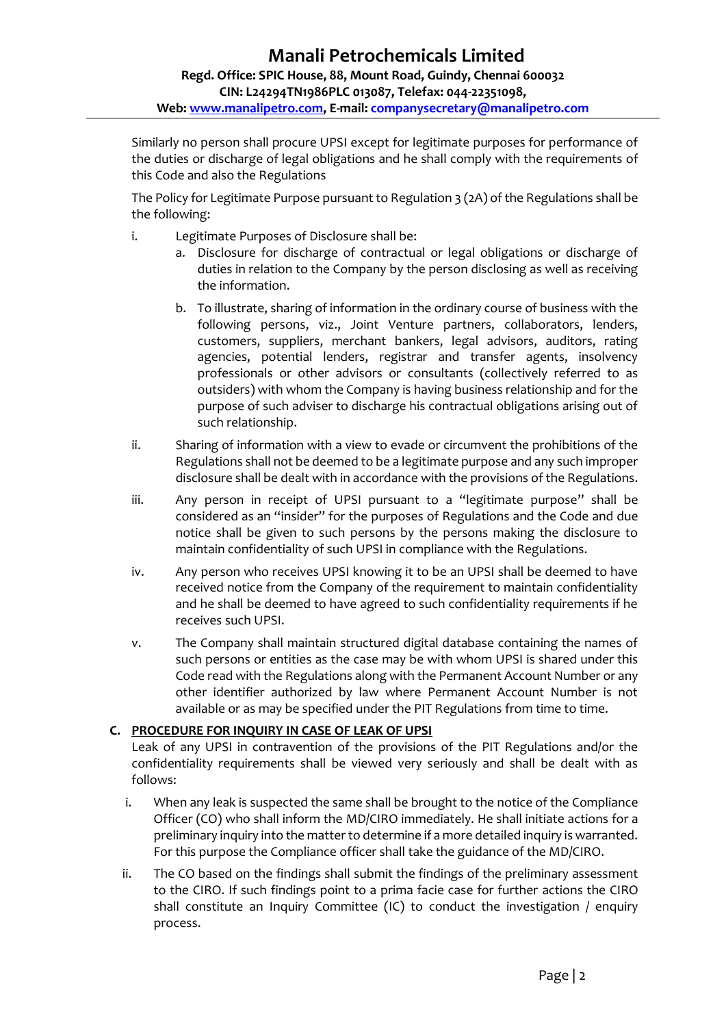Similarly no person shall procure UPSI except for legitimate purposes for performance of the duties or discharge of legal obligations and he shall comply with the requirements of this Code and also the Regulations

The Policy for Legitimate Purpose pursuant to Regulation 3 (2A) of the Regulations shall be the following:

- i. Legitimate Purposes of Disclosure shall be:
	- a. Disclosure for discharge of contractual or legal obligations or discharge of duties in relation to the Company by the person disclosing as well as receiving the information.
	- b. To illustrate, sharing of information in the ordinary course of business with the following persons, viz., Joint Venture partners, collaborators, lenders, customers, suppliers, merchant bankers, legal advisors, auditors, rating agencies, potential lenders, registrar and transfer agents, insolvency professionals or other advisors or consultants (collectively referred to as outsiders) with whom the Company is having business relationship and for the purpose of such adviser to discharge his contractual obligations arising out of such relationship.
- ii. Sharing of information with a view to evade or circumvent the prohibitions of the Regulations shall not be deemed to be a legitimate purpose and any such improper disclosure shall be dealt with in accordance with the provisions of the Regulations.
- iii. Any person in receipt of UPSI pursuant to a "legitimate purpose" shall be considered as an "insider" for the purposes of Regulations and the Code and due notice shall be given to such persons by the persons making the disclosure to maintain confidentiality of such UPSI in compliance with the Regulations.
- iv. Any person who receives UPSI knowing it to be an UPSI shall be deemed to have received notice from the Company of the requirement to maintain confidentiality and he shall be deemed to have agreed to such confidentiality requirements if he receives such UPSI.
- v. The Company shall maintain structured digital database containing the names of such persons or entities as the case may be with whom UPSI is shared under this Code read with the Regulations along with the Permanent Account Number or any other identifier authorized by law where Permanent Account Number is not available or as may be specified under the PIT Regulations from time to time.

# **C. PROCEDURE FOR INQUIRY IN CASE OF LEAK OF UPSI**

Leak of any UPSI in contravention of the provisions of the PIT Regulations and/or the confidentiality requirements shall be viewed very seriously and shall be dealt with as follows:

- i. When any leak is suspected the same shall be brought to the notice of the Compliance Officer (CO) who shall inform the MD/CIRO immediately. He shall initiate actions for a preliminary inquiry into the matter to determine if a more detailed inquiry is warranted. For this purpose the Compliance officer shall take the guidance of the MD/CIRO.
- ii. The CO based on the findings shall submit the findings of the preliminary assessment to the CIRO. If such findings point to a prima facie case for further actions the CIRO shall constitute an Inquiry Committee (IC) to conduct the investigation / enquiry process.